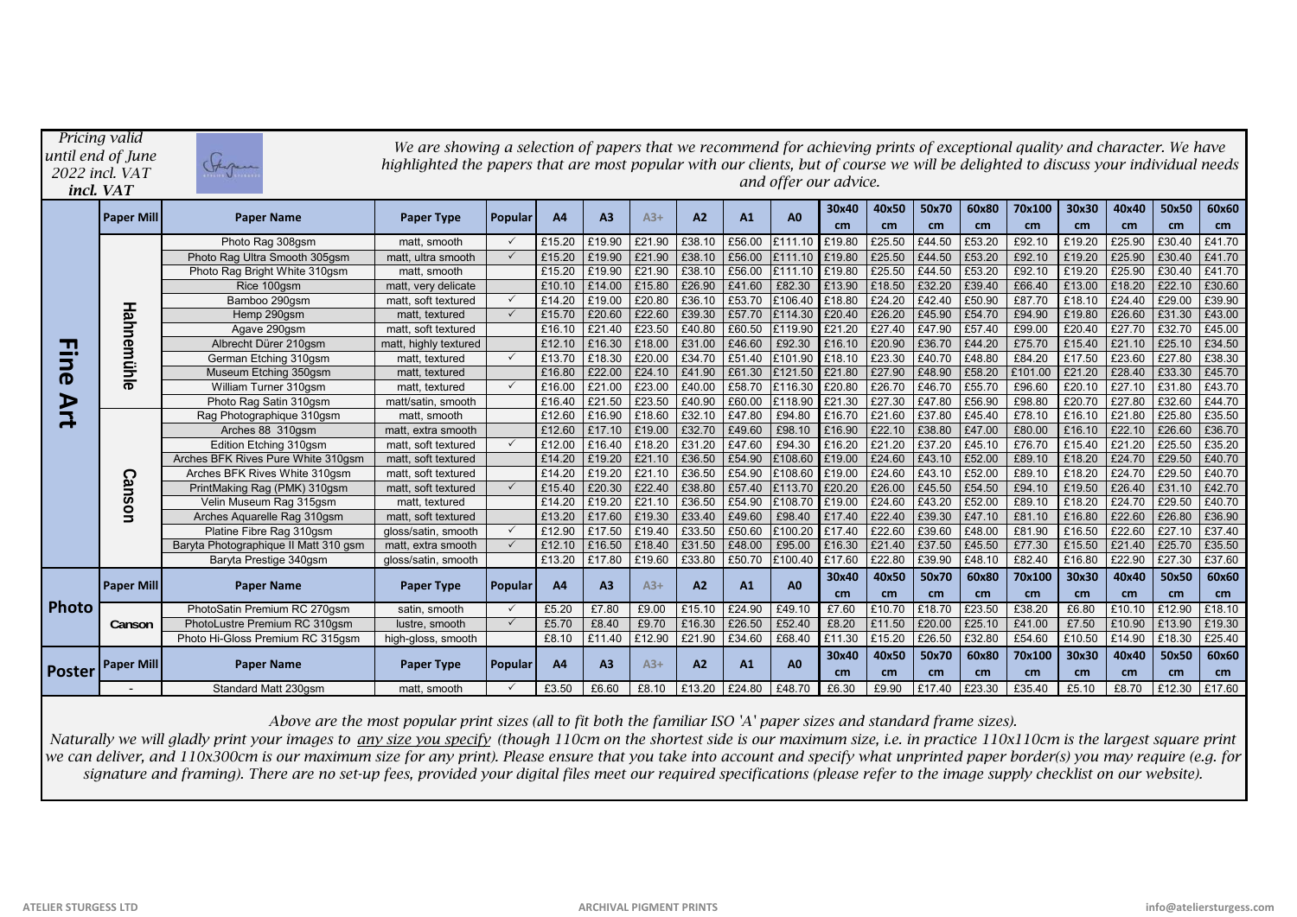| Pricing valid<br>until end of June<br>2022 incl. VAT<br>incl. VAT |                   | We are showing a selection of papers that we recommend for achieving prints of exceptional quality and character. We have<br>Stegen<br>highlighted the papers that are most popular with our clients, but of course we will be delighted to discuss your individual needs<br>and offer our advice. |                       |                |           |                |        |                |        |                |             |             |             |             |              |             |             |             |             |
|-------------------------------------------------------------------|-------------------|----------------------------------------------------------------------------------------------------------------------------------------------------------------------------------------------------------------------------------------------------------------------------------------------------|-----------------------|----------------|-----------|----------------|--------|----------------|--------|----------------|-------------|-------------|-------------|-------------|--------------|-------------|-------------|-------------|-------------|
|                                                                   | <b>Paper Mill</b> | <b>Paper Name</b>                                                                                                                                                                                                                                                                                  | <b>Paper Type</b>     | <b>Popular</b> | <b>A4</b> | A <sub>3</sub> | $A3+$  | A <sub>2</sub> | A1     | A <sub>0</sub> | 30x40<br>cm | 40x50<br>cm | 50x70<br>cm | 60x80<br>cm | 70x100<br>cm | 30x30<br>cm | 40x40<br>cm | 50x50<br>cm | 60x60<br>cm |
|                                                                   |                   | Photo Rag 308gsm                                                                                                                                                                                                                                                                                   | matt. smooth          | $\checkmark$   | £15.20    | £19.90         | £21.90 | £38.10         | £56.00 | £111.10        | £19.80      | £25.50      | £44.50      | £53.20      | £92.10       | £19.20      | £25.90      | £30.40      | £41.70      |
|                                                                   |                   | Photo Rag Ultra Smooth 305gsm                                                                                                                                                                                                                                                                      | matt, ultra smooth    | $\checkmark$   | £15.20    | £19.90         | £21.90 | £38.10         | £56.00 | £111.10        | £19.80      | £25.50      | £44.50      | £53.20      | £92.10       | £19.20      | £25.90      | £30.40      | £41.70      |
|                                                                   |                   | Photo Rag Bright White 310gsm                                                                                                                                                                                                                                                                      | matt, smooth          |                | £15.20    | £19.90         | £21.90 | £38.10         | £56.00 | £111.10        | £19.80      | £25.50      | £44.50      | £53.20      | £92.10       | £19.20      | £25.90      | £30.40      | £41.70      |
|                                                                   |                   | Rice 100gsm                                                                                                                                                                                                                                                                                        | matt, very delicate   |                | £10.10    | £14.00         | £15.80 | £26.90         | £41.60 | £82.30         | £13.90      | £18.50      | £32.20      | £39.40      | £66.40       | £13.00      | £18.20      | £22.10      | £30.60      |
|                                                                   |                   | Bamboo 290gsm                                                                                                                                                                                                                                                                                      | matt, soft textured   | $\checkmark$   | £14.20    | £19.00         | £20.80 | £36.10         | £53.70 | £106.40        | £18.80      | £24.20      | £42.40      | £50.90      | £87.70       | £18.10      | £24.40      | £29.00      | £39.90      |
| Т.<br>--<br>3<br>D<br>R                                           | Hahnemühle        | Hemp 290gsm                                                                                                                                                                                                                                                                                        | matt, textured        | $\checkmark$   | £15.70    | £20.60         | £22.60 | £39.30         | £57.70 | £114.30        | £20.40      | £26.20      | £45.90      | £54.70      | £94.90       | £19.80      | £26.60      | £31.30      | £43.00      |
|                                                                   |                   | Agave 290gsm                                                                                                                                                                                                                                                                                       | matt, soft textured   |                | £16.10    | £21.40         | £23.50 | £40.80         | £60.50 | £119.90        | £21.20      | £27.40      | £47.90      | £57.40      | £99.00       | £20.40      | £27.70      | £32.70      | £45.00      |
|                                                                   |                   | Albrecht Dürer 210gsm                                                                                                                                                                                                                                                                              | matt, highly textured |                | £12.10    | £16.30         | £18.00 | £31.00         | £46.60 | £92.30         | £16.10      | £20.90      | £36.70      | £44.20      | £75.70       | £15.40      | £21.10      | £25.10      | £34.50      |
|                                                                   |                   | German Etching 310gsm                                                                                                                                                                                                                                                                              | matt. textured        | $\checkmark$   | £13.70    | £18.30         | £20.00 | £34.70         | £51.40 | £101.90        | £18.10      | £23.30      | £40.70      | £48.80      | £84.20       | £17.50      | £23.60      | £27.80      | £38.30      |
|                                                                   |                   | Museum Etching 350gsm                                                                                                                                                                                                                                                                              | matt. textured        |                | £16.80    | £22.00         | £24.10 | £41.90         | £61.30 | £121.50        | £21.80      | £27.90      | £48.90      | £58.20      | £101.00      | £21.20      | £28.40      | £33.30      | £45.70      |
|                                                                   |                   | William Turner 310gsm                                                                                                                                                                                                                                                                              | matt. textured        | $\checkmark$   | £16.00    | £21.00         | £23.00 | £40.00         | £58.70 | £116.30        | £20.80      | £26.70      | £46.70      | £55.70      | £96.60       | £20.10      | £27.10      | £31.80      | £43.70      |
|                                                                   |                   | Photo Rag Satin 310gsm                                                                                                                                                                                                                                                                             | matt/satin, smooth    |                | £16.40    | £21.50         | £23.50 | £40.90         | £60.00 | £118.90        | £21.30      | £27.30      | £47.80      | £56.90      | £98.80       | £20.70      | £27.80      | £32.60      | £44.70      |
|                                                                   |                   | Rag Photographique 310gsm                                                                                                                                                                                                                                                                          | matt. smooth          |                | £12.60    | £16.90         | £18.60 | £32.10         | £47.80 | £94.80         | £16.70      | £21.60      | £37.80      | £45.40      | £78.10       | £16.10      | £21.80      | £25.80      | £35.50      |
|                                                                   | <b>Canson</b>     | Arches 88 310gsm                                                                                                                                                                                                                                                                                   | matt. extra smooth    |                | £12.60    | £17.10         | £19.00 | £32.70         | £49.60 | £98.10         | £16.90      | £22.10      | £38.80      | £47.00      | £80.00       | £16.10      | £22.10      | £26.60      | £36.70      |
|                                                                   |                   | Edition Etching 310gsm                                                                                                                                                                                                                                                                             | matt, soft textured   | $\checkmark$   | £12.00    | £16.40         | £18.20 | £31.20         | £47.60 | £94.30         | £16.20      | £21.20      | £37.20      | £45.10      | £76.70       | £15.40      | £21.20      | £25.50      | £35.20      |
|                                                                   |                   | Arches BFK Rives Pure White 310gsm                                                                                                                                                                                                                                                                 | matt. soft textured   |                | £14.20    | £19.20         | £21.10 | £36.50         | £54.90 | £108.60        | £19.00      | £24.60      | £43.10      | £52.00      | £89.10       | £18.20      | £24.70      | £29.50      | £40.70      |
|                                                                   |                   | Arches BFK Rives White 310gsm                                                                                                                                                                                                                                                                      | matt, soft textured   |                | £14.20    | £19.20         | £21.10 | £36.50         | £54.90 | £108.60        | £19.00      | £24.60      | £43.10      | £52.00      | £89.10       | £18.20      | £24.70      | £29.50      | £40.70      |
|                                                                   |                   | PrintMaking Rag (PMK) 310gsm                                                                                                                                                                                                                                                                       | matt, soft textured   | $\checkmark$   | £15.40    | £20.30         | £22.40 | £38.80         | £57.40 | £113.70        | £20.20      | £26.00      | £45.50      | £54.50      | £94.10       | £19.50      | £26.40      | £31.10      | £42.70      |
|                                                                   |                   | Velin Museum Rag 315gsm                                                                                                                                                                                                                                                                            | matt, textured        |                | £14.20    | £19.20         | £21.10 | £36.50         | £54.90 | £108.70        | £19.00      | £24.60      | £43.20      | £52.00      | £89.10       | £18.20      | £24.70      | £29.50      | £40.70      |
|                                                                   |                   | Arches Aquarelle Rag 310gsm                                                                                                                                                                                                                                                                        | matt, soft textured   |                | £13.20    | £17.60         | £19.30 | £33.40         | £49.60 | £98.40         | £17.40      | £22.40      | £39.30      | £47.10      | £81.10       | £16.80      | £22.60      | £26.80      | £36.90      |
|                                                                   |                   | Platine Fibre Rag 310gsm                                                                                                                                                                                                                                                                           | gloss/satin, smooth   | $\checkmark$   | £12.90    | £17.50         | £19.40 | £33.50         | £50.60 | £100.20        | £17.40      | £22.60      | £39.60      | £48.00      | £81.90       | £16.50      | £22.60      | £27.10      | £37.40      |
|                                                                   |                   | Baryta Photographique II Matt 310 gsm                                                                                                                                                                                                                                                              | matt, extra smooth    | $\checkmark$   | £12.10    | £16.50         | £18.40 | £31.50         | £48.00 | £95.00         | £16.30      | £21.40      | £37.50      | £45.50      | £77.30       | £15.50      | £21.40      | £25.70      | £35.50      |
|                                                                   |                   | Baryta Prestige 340gsm                                                                                                                                                                                                                                                                             | gloss/satin, smooth   |                | £13.20    | £17.80         | £19.60 | £33.80         | £50.70 | £100.40        | £17.60      | £22.80      | £39.90      | £48.10      | £82.40       | £16.80      | £22.90      | £27.30      | £37.60      |
|                                                                   | <b>Paper Mill</b> | <b>Paper Name</b>                                                                                                                                                                                                                                                                                  | <b>Paper Type</b>     | <b>Popular</b> | <b>A4</b> | A3             | $A3+$  | A2             | A1     | <b>A0</b>      | 30x40       | 40x50       | 50x70       | 60x80       | 70x100       | 30x30       | 40x40       | 50x50       | 60x60       |
| <b>Photo</b>                                                      |                   |                                                                                                                                                                                                                                                                                                    |                       |                |           |                |        |                |        |                | cm          | cm          | cm          | cm          | cm           | cm          | cm          | cm          | cm          |
|                                                                   | Canson            | PhotoSatin Premium RC 270qsm                                                                                                                                                                                                                                                                       | satin, smooth         | $\checkmark$   | £5.20     | £7.80          | £9.00  | £15.10         | £24.90 | £49.10         | £7.60       | £10.70      | £18.70      | £23.50      | £38.20       | £6.80       | £10.10      | £12.90      | £18.10      |
|                                                                   |                   | PhotoLustre Premium RC 310qsm                                                                                                                                                                                                                                                                      | lustre, smooth        | $\checkmark$   | £5.70     | £8.40          | £9.70  | £16.30         | £26.50 | £52.40         | £8.20       | £11.50      | £20.00      | £25.10      | £41.00       | £7.50       | £10.90      | £13.90      | £19.30      |
|                                                                   |                   | Photo Hi-Gloss Premium RC 315gsm                                                                                                                                                                                                                                                                   | high-gloss, smooth    |                | £8.10     | £11.40         | £12.90 | £21.90         | £34.60 | £68.40         | £11.30      | £15.20      | £26.50      | £32.80      | £54.60       | £10.50      | £14.90      | £18.30      | £25.40      |
| Poster                                                            | <b>Paper Mill</b> | <b>Paper Name</b>                                                                                                                                                                                                                                                                                  | <b>Paper Type</b>     | Popular        | <b>A4</b> | A <sub>3</sub> | $A3+$  | A2             | A1     | A <sub>0</sub> | 30x40       | 40x50       | 50x70       | 60x80       | 70x100       | 30x30       | 40x40       | 50x50       | 60x60       |
|                                                                   |                   |                                                                                                                                                                                                                                                                                                    |                       |                |           |                |        |                |        |                | cm          | cm          | cm          | cm          | cm           | cm          | cm          | cm          | cm          |
|                                                                   |                   | Standard Matt 230gsm                                                                                                                                                                                                                                                                               | matt, smooth          | $\checkmark$   | £3.50     | £6.60          | £8.10  | £13.20         | £24.80 | £48.70         | £6.30       | £9.90       | £17.40      | £23.30      | £35.40       | £5.10       | £8.70       | £12.30      | £17.60      |

*Above are the most popular print sizes (all to fit both the familiar ISO 'A' paper sizes and standard frame sizes).*

*Naturally we will gladly print your images to any size you specify (though 110cm on the shortest side is our maximum size, i.e. in practice 110x110cm is the largest square print we can deliver, and 110x300cm is our maximum size for any print). Please ensure that you take into account and specify what unprinted paper border(s) you may require (e.g. for signature and framing). There are no set-up fees, provided your digital files meet our required specifications (please refer to the image supply checklist on our website).*